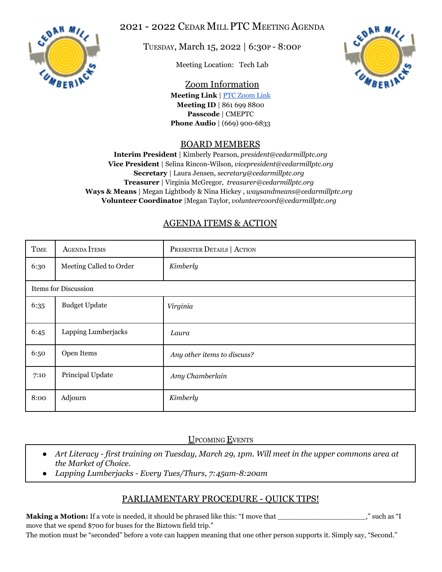

2021 - 2022 CEDAR MILL PTC MEETING AGENDA

TUESDAY, March 15, 2022 | 6:30<sup>P</sup> - 8:00<sup>P</sup>

Meeting Location: Tech Lab



Zoom Information **Meeting Link** | PTC [Zoom](https://us06web.zoom.us/j/8616998800?pwd=Mzg5MG02d3lobmJwemU2N0Jwd1RnUT09) Link **Meeting ID** | 861 699 8800 **Passcode** | CMEPTC **Phone Audio** | (669) 900-6833

## BOARD MEMBERS

**Interim President** | Kimberly Pearson, *president@cedarmillptc.org* **Vice President** | Selina Rincon-Wilson, *vicepresident@cedarmillptc.org* **Secretary** | Laura Jensen, *secretary@cedarmillptc.org* **Treasurer** | Virginia McGregor, *treasurer@cedarmillptc.org* **Ways & Means** | Megan Lightbody & Nina Hickey , *waysandmeans@cedarmillptc.org* **Volunteer Coordinator** |Megan Taylor, *[volunteercoord@cedarmillptc.org](mailto:volunteercoord@cedarmillptc.org)*

## AGENDA ITEMS & ACTION

| <b>TIME</b>          | <b>AGENDA ITEMS</b>     | PRESENTER DETAILS   ACTION  |
|----------------------|-------------------------|-----------------------------|
| 6:30                 | Meeting Called to Order | Kimberly                    |
| Items for Discussion |                         |                             |
| 6:35                 | <b>Budget Update</b>    | Virginia                    |
| 6:45                 | Lapping Lumberjacks     | Laura                       |
| 6:50                 | Open Items              | Any other items to discuss? |
| 7:10                 | Principal Update        | Amy Chamberlain             |
| 8:00                 | Adjourn                 | Kimberly                    |

UPCOMING EVENTS

- Art Literacy first training on Tuesday, March 29, 1pm. Will meet in the upper commons area at *the Market of Choice.*
- *● Lapping Lumberjacks - Every Tues/Thurs, 7:45am-8:20am*

## PARLIAMENTARY PROCEDURE - QUICK TIPS!

**Making a Motion:** If a vote is needed, it should be phrased like this: "I move that \_\_\_\_\_\_\_\_\_\_\_\_\_\_\_\_\_\_\_\_\_," such as "I move that we spend \$700 for buses for the Biztown field trip."

The motion must be "seconded" before a vote can happen meaning that one other person supports it. Simply say, "Second."